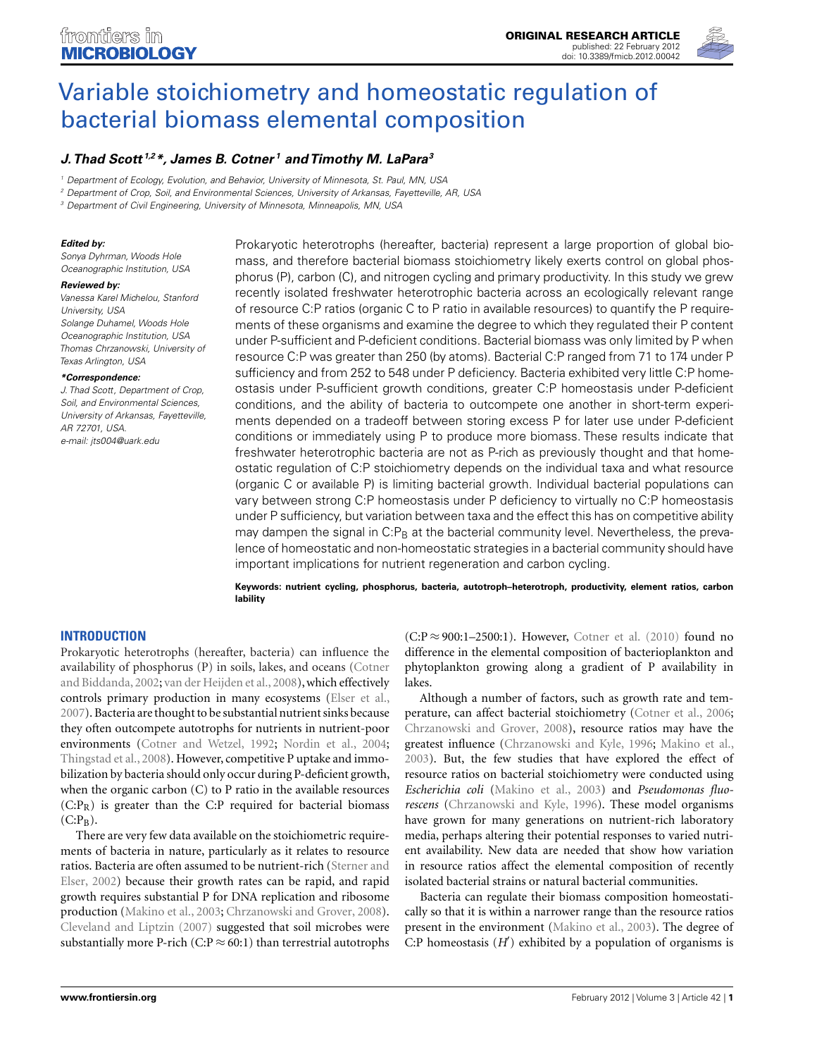

# [Variable stoichiometry and homeostatic regulation of](http://www.frontiersin.org/Aquatic_Microbiology/10.3389/fmicb.2012.00042/abstract) bacterial biomass elemental composition

# *[J. Thad Scott](http://www.frontiersin.org/Community/WhosWhoDetails.aspx?UID=18845&d=1&sname=ThadScott&name=Science) 1,2\*, [James B. Cotner](http://www.frontiersin.org/Community/WhosWhoDetails.aspx?UID=16044&d=1&sname=JamesCotner&name=Science) <sup>1</sup> and [Timothy M. LaPara3](http://www.frontiersin.org/Community/WhosWhoDetails.aspx?UID=23777&d=3&sname=TimothyLaPara&name=Technology)*

<sup>1</sup> Department of Ecology, Evolution, and Behavior, University of Minnesota, St. Paul, MN, USA

<sup>2</sup> Department of Crop, Soil, and Environmental Sciences, University of Arkansas, Fayetteville, AR, USA

<sup>3</sup> Department of Civil Engineering, University of Minnesota, Minneapolis, MN, USA

### *Edited by:*

Sonya Dyhrman, Woods Hole Oceanographic Institution, USA

#### *Reviewed by:*

Vanessa Karel Michelou, Stanford University, USA Solange Duhamel, Woods Hole Oceanographic Institution, USA Thomas Chrzanowski, University of Texas Arlington, USA

#### *\*Correspondence:*

J. Thad Scott, Department of Crop, Soil, and Environmental Sciences, University of Arkansas, Fayetteville, AR 72701, USA. e-mail: [jts004@uark.edu](mailto:jts004@uark.edu)

Prokaryotic heterotrophs (hereafter, bacteria) represent a large proportion of global biomass, and therefore bacterial biomass stoichiometry likely exerts control on global phosphorus (P), carbon (C), and nitrogen cycling and primary productivity. In this study we grew recently isolated freshwater heterotrophic bacteria across an ecologically relevant range of resource C:P ratios (organic C to P ratio in available resources) to quantify the P requirements of these organisms and examine the degree to which they regulated their P content under P-sufficient and P-deficient conditions. Bacterial biomass was only limited by P when resource C:P was greater than 250 (by atoms). Bacterial C:P ranged from 71 to 174 under P sufficiency and from 252 to 548 under P deficiency. Bacteria exhibited very little C:P homeostasis under P-sufficient growth conditions, greater C:P homeostasis under P-deficient conditions, and the ability of bacteria to outcompete one another in short-term experiments depended on a tradeoff between storing excess P for later use under P-deficient conditions or immediately using P to produce more biomass. These results indicate that freshwater heterotrophic bacteria are not as P-rich as previously thought and that homeostatic regulation of C:P stoichiometry depends on the individual taxa and what resource (organic C or available P) is limiting bacterial growth. Individual bacterial populations can vary between strong C:P homeostasis under P deficiency to virtually no C:P homeostasis under P sufficiency, but variation between taxa and the effect this has on competitive ability may dampen the signal in  $C:P_B$  at the bacterial community level. Nevertheless, the prevalence of homeostatic and non-homeostatic strategies in a bacterial community should have important implications for nutrient regeneration and carbon cycling.

**Keywords: nutrient cycling, phosphorus, bacteria, autotroph–heterotroph, productivity, element ratios, carbon lability**

# **INTRODUCTION**

Prokaryotic heterotrophs (hereafter, bacteria) can influence the availability of [phosphorus \(P\) in soils, lakes, and oceans \(](#page-6-0)Cotner and Biddanda, [2002](#page-6-0); [van der Heijden et al.](#page-7-0), [2008\)](#page-7-0), which effectively controls primary production in many ecosystems [\(Elser et al.,](#page-7-0) [2007\)](#page-7-0). Bacteria are thought to be substantial nutrient sinks because they often outcompete autotrophs for nutrients in nutrient-poor environments [\(Cotner and Wetzel, 1992;](#page-7-0) [Nordin et al., 2004;](#page-7-0) [Thingstad et al., 2008\)](#page-7-0). However, competitive P uptake and immobilization by bacteria should only occur during P-deficient growth, when the organic carbon (C) to P ratio in the available resources  $(C: P_R)$  is greater than the C:P required for bacterial biomass  $(C:P_B)$ .

There are very few data available on the stoichiometric requirements of bacteria in nature, particularly as it relates to resource ratio[s. Bacteria are often assumed to be nutrient-rich \(](#page-7-0)Sterner and Elser, [2002](#page-7-0)) because their growth rates can be rapid, and rapid growth requires substantial P for DNA replication and ribosome production [\(Makino et al.](#page-7-0), [2003](#page-7-0); [Chrzanowski and Grover, 2008](#page-6-0)). [Cleveland and Liptzin](#page-6-0) [\(2007\)](#page-6-0) suggested that soil microbes were substantially more P-rich (C:P  $\approx$  60:1) than terrestrial autotrophs

 $(C:P \approx 900:1-2500:1)$ . However, [Cotner et al.](#page-6-0) [\(2010\)](#page-6-0) found no difference in the elemental composition of bacterioplankton and phytoplankton growing along a gradient of P availability in lakes.

Although a number of factors, such as growth rate and temperature, can affect bacterial stoichiometry [\(Cotner et al.](#page-7-0), [2006;](#page-7-0) [Chrzanowski and Grover, 2008\)](#page-6-0), resource ratios may have the greatest influence [\(Chrzanowski and Kyle, 1996](#page-6-0); [Makino et al.,](#page-7-0) [2003\)](#page-7-0). But, the few studies that have explored the effect of resource ratios on bacterial stoichiometry were conducted using *Escherichia coli* [\(Makino et al., 2003\)](#page-7-0) and *Pseudomonas fluorescens* [\(Chrzanowski and Kyle, 1996\)](#page-6-0). These model organisms have grown for many generations on nutrient-rich laboratory media, perhaps altering their potential responses to varied nutrient availability. New data are needed that show how variation in resource ratios affect the elemental composition of recently isolated bacterial strains or natural bacterial communities.

Bacteria can regulate their biomass composition homeostatically so that it is within a narrower range than the resource ratios present in the environment [\(Makino et al.](#page-7-0), [2003](#page-7-0)). The degree of C:P homeostasis (*H* ) exhibited by a population of organisms is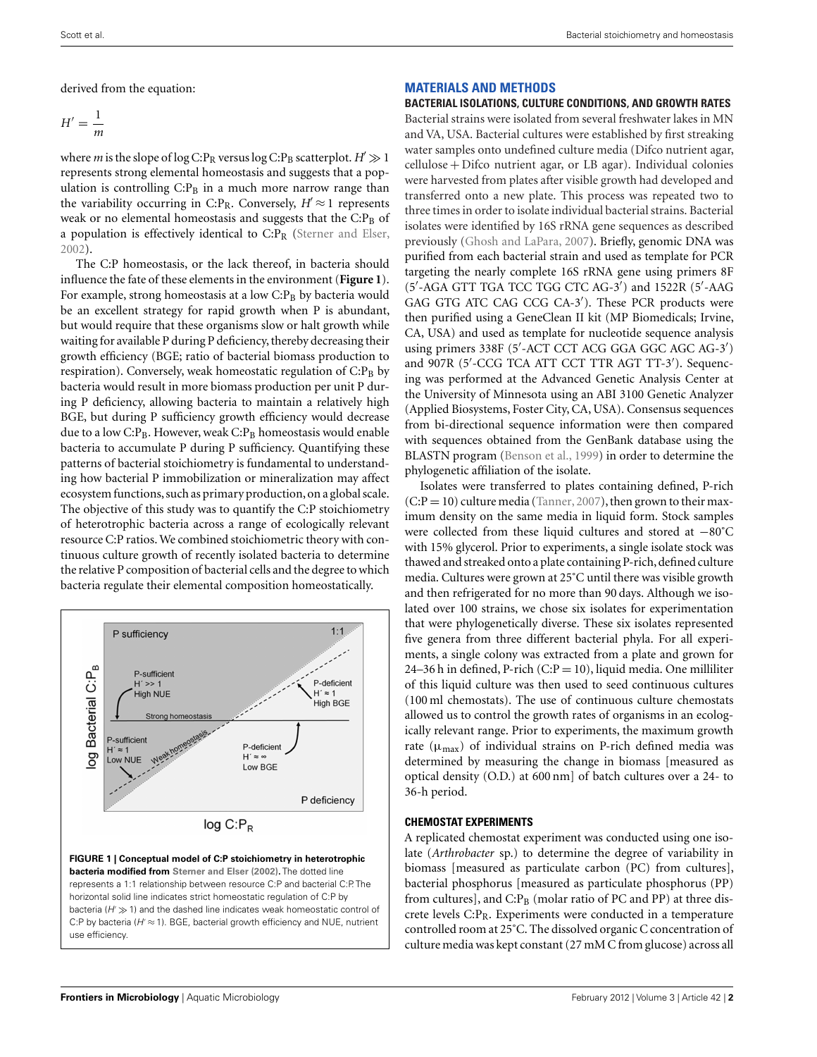<span id="page-1-0"></span>derived from the equation:

$$
H' = \frac{1}{m}
$$

where *m* is the slope of log C:P<sub>R</sub> versus log C:P<sub>B</sub> scatterplot.  $H' \gg 1$ represents strong elemental homeostasis and suggests that a population is controlling  $C: P_B$  in a much more narrow range than the variability occurring in C:P<sub>R</sub>. Conversely,  $H \approx 1$  represents weak or no elemental homeostasis and suggests that the  $C: P_B$  of a population is effectively identical to  $C: P_R$  [\(Sterner and Elser,](#page-7-0) [2002\)](#page-7-0).

The C:P homeostasis, or the lack thereof, in bacteria should influence the fate of these elements in the environment (**Figure 1**). For example, strong homeostasis at a low  $C.P<sub>B</sub>$  by bacteria would be an excellent strategy for rapid growth when P is abundant, but would require that these organisms slow or halt growth while waiting for available P during P deficiency, thereby decreasing their growth efficiency (BGE; ratio of bacterial biomass production to respiration). Conversely, weak homeostatic regulation of  $C: P_B$  by bacteria would result in more biomass production per unit P during P deficiency, allowing bacteria to maintain a relatively high BGE, but during P sufficiency growth efficiency would decrease due to a low C: $P_B$ . However, weak C: $P_B$  homeostasis would enable bacteria to accumulate P during P sufficiency. Quantifying these patterns of bacterial stoichiometry is fundamental to understanding how bacterial P immobilization or mineralization may affect ecosystem functions, such as primary production, on a global scale. The objective of this study was to quantify the C:P stoichiometry of heterotrophic bacteria across a range of ecologically relevant resource C:P ratios. We combined stoichiometric theory with continuous culture growth of recently isolated bacteria to determine the relative P composition of bacterial cells and the degree to which bacteria regulate their elemental composition homeostatically.



represents a 1:1 relationship between resource C:P and bacterial C:P. The horizontal solid line indicates strict homeostatic regulation of C:P by bacteria ( $H \gg 1$ ) and the dashed line indicates weak homeostatic control of C:P by bacteria ( $H' \approx 1$ ). BGE, bacterial growth efficiency and NUE, nutrient use efficiency.

# **MATERIALS AND METHODS**

#### **BACTERIAL ISOLATIONS, CULTURE CONDITIONS, AND GROWTH RATES**

Bacterial strains were isolated from several freshwater lakes in MN and VA, USA. Bacterial cultures were established by first streaking water samples onto undefined culture media (Difco nutrient agar, cellulose + Difco nutrient agar, or LB agar). Individual colonies were harvested from plates after visible growth had developed and transferred onto a new plate. This process was repeated two to three times in order to isolate individual bacterial strains. Bacterial isolates were identified by 16S rRNA gene sequences as described previously [\(Ghosh and LaPara, 2007\)](#page-7-0). Briefly, genomic DNA was purified from each bacterial strain and used as template for PCR targeting the nearly complete 16S rRNA gene using primers 8F (5 -AGA GTT TGA TCC TGG CTC AG-3 ) and 1522R (5 -AAG GAG GTG ATC CAG CCG CA-3 ). These PCR products were then purified using a GeneClean II kit (MP Biomedicals; Irvine, CA, USA) and used as template for nucleotide sequence analysis using primers 338F (5 -ACT CCT ACG GGA GGC AGC AG-3 ) and 907R (5 -CCG TCA ATT CCT TTR AGT TT-3 ). Sequencing was performed at the Advanced Genetic Analysis Center at the University of Minnesota using an ABI 3100 Genetic Analyzer (Applied Biosystems, Foster City, CA, USA). Consensus sequences from bi-directional sequence information were then compared with sequences obtained from the GenBank database using the BLASTN program [\(Benson et al.](#page-6-0), [1999\)](#page-6-0) in order to determine the phylogenetic affiliation of the isolate.

Isolates were transferred to plates containing defined, P-rich  $(C:P = 10)$  culture media [\(Tanner, 2007](#page-7-0)), then grown to their maximum density on the same media in liquid form. Stock samples were collected from these liquid cultures and stored at −80˚C with 15% glycerol. Prior to experiments, a single isolate stock was thawed and streaked onto a plate containing P-rich, defined culture media. Cultures were grown at 25˚C until there was visible growth and then refrigerated for no more than 90 days. Although we isolated over 100 strains, we chose six isolates for experimentation that were phylogenetically diverse. These six isolates represented five genera from three different bacterial phyla. For all experiments, a single colony was extracted from a plate and grown for 24–36 h in defined, P-rich  $(C:P = 10)$ , liquid media. One milliliter of this liquid culture was then used to seed continuous cultures (100 ml chemostats). The use of continuous culture chemostats allowed us to control the growth rates of organisms in an ecologically relevant range. Prior to experiments, the maximum growth rate ( $\mu_{\text{max}}$ ) of individual strains on P-rich defined media was determined by measuring the change in biomass [measured as optical density (O.D.) at 600 nm] of batch cultures over a 24- to 36-h period.

## **CHEMOSTAT EXPERIMENTS**

A replicated chemostat experiment was conducted using one isolate (*Arthrobacter* sp.) to determine the degree of variability in biomass [measured as particulate carbon (PC) from cultures], bacterial phosphorus [measured as particulate phosphorus (PP) from cultures], and  $C.P<sub>B</sub>$  (molar ratio of PC and PP) at three discrete levels  $C: P_R$ . Experiments were conducted in a temperature controlled room at 25˚C. The dissolved organic C concentration of culture media was kept constant (27 mM C from glucose) across all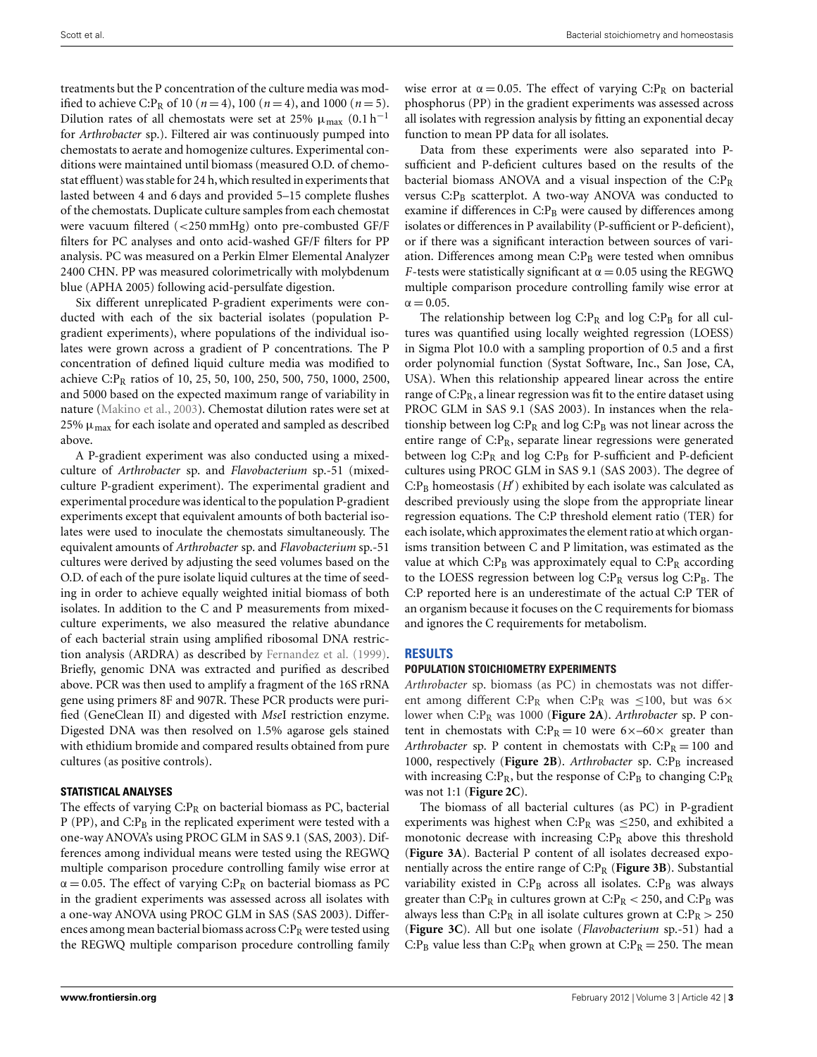treatments but the P concentration of the culture media was modified to achieve C:P<sub>R</sub> of 10 ( $n = 4$ ), 100 ( $n = 4$ ), and 1000 ( $n = 5$ ). Dilution rates of all chemostats were set at 25%  $\mu_{\text{max}}$  (0.1 h<sup>-1</sup> for *Arthrobacter* sp.). Filtered air was continuously pumped into chemostats to aerate and homogenize cultures. Experimental conditions were maintained until biomass (measured O.D. of chemostat effluent) was stable for 24 h,which resulted in experiments that lasted between 4 and 6 days and provided 5–15 complete flushes of the chemostats. Duplicate culture samples from each chemostat were vacuum filtered (<250 mmHg) onto pre-combusted GF/F filters for PC analyses and onto acid-washed GF/F filters for PP analysis. PC was measured on a Perkin Elmer Elemental Analyzer 2400 CHN. PP was measured colorimetrically with molybdenum blue (APHA 2005) following acid-persulfate digestion.

Six different unreplicated P-gradient experiments were conducted with each of the six bacterial isolates (population Pgradient experiments), where populations of the individual isolates were grown across a gradient of P concentrations. The P concentration of defined liquid culture media was modified to achieve C:P<sub>R</sub> ratios of 10, 25, 50, 100, 250, 500, 750, 1000, 2500, and 5000 based on the expected maximum range of variability in nature [\(Makino et al., 2003](#page-7-0)). Chemostat dilution rates were set at 25%  $\mu_{\text{max}}$  for each isolate and operated and sampled as described above.

A P-gradient experiment was also conducted using a mixedculture of *Arthrobacter* sp. and *Flavobacterium* sp.-51 (mixedculture P-gradient experiment). The experimental gradient and experimental procedure was identical to the population P-gradient experiments except that equivalent amounts of both bacterial isolates were used to inoculate the chemostats simultaneously. The equivalent amounts of *Arthrobacter* sp. and *Flavobacterium* sp.-51 cultures were derived by adjusting the seed volumes based on the O.D. of each of the pure isolate liquid cultures at the time of seeding in order to achieve equally weighted initial biomass of both isolates. In addition to the C and P measurements from mixedculture experiments, we also measured the relative abundance of each bacterial strain using amplified ribosomal DNA restriction analysis (ARDRA) as described by [Fernandez et al.](#page-7-0) [\(1999](#page-7-0)). Briefly, genomic DNA was extracted and purified as described above. PCR was then used to amplify a fragment of the 16S rRNA gene using primers 8F and 907R. These PCR products were purified (GeneClean II) and digested with *Mse*I restriction enzyme. Digested DNA was then resolved on 1.5% agarose gels stained with ethidium bromide and compared results obtained from pure cultures (as positive controls).

# **STATISTICAL ANALYSES**

The effects of varying  $C: P_R$  on bacterial biomass as PC, bacterial  $P$  (PP), and C: $P_B$  in the replicated experiment were tested with a one-way ANOVA's using PROC GLM in SAS 9.1 (SAS, 2003). Differences among individual means were tested using the REGWQ multiple comparison procedure controlling family wise error at  $\alpha = 0.05$ . The effect of varying C:P<sub>R</sub> on bacterial biomass as PC in the gradient experiments was assessed across all isolates with a one-way ANOVA using PROC GLM in SAS (SAS 2003). Differences among mean bacterial biomass across  $C: P_R$  were tested using the REGWQ multiple comparison procedure controlling family wise error at  $\alpha = 0.05$ . The effect of varying C:P<sub>R</sub> on bacterial phosphorus (PP) in the gradient experiments was assessed across all isolates with regression analysis by fitting an exponential decay function to mean PP data for all isolates.

Data from these experiments were also separated into Psufficient and P-deficient cultures based on the results of the bacterial biomass ANOVA and a visual inspection of the  $C: P_R$ versus C:P<sub>B</sub> scatterplot. A two-way ANOVA was conducted to examine if differences in  $C: P_B$  were caused by differences among isolates or differences in P availability (P-sufficient or P-deficient), or if there was a significant interaction between sources of variation. Differences among mean  $C: P_B$  were tested when omnibus *F*-tests were statistically significant at  $\alpha = 0.05$  using the REGWQ multiple comparison procedure controlling family wise error at  $\alpha = 0.05$ .

The relationship between log  $C: P_R$  and log  $C: P_B$  for all cultures was quantified using locally weighted regression (LOESS) in Sigma Plot 10.0 with a sampling proportion of 0.5 and a first order polynomial function (Systat Software, Inc., San Jose, CA, USA). When this relationship appeared linear across the entire range of  $C: P_R$ , a linear regression was fit to the entire dataset using PROC GLM in SAS 9.1 (SAS 2003). In instances when the relationship between  $\log$  C:P<sub>R</sub> and  $\log$  C:P<sub>B</sub> was not linear across the entire range of  $C.P_R$ , separate linear regressions were generated between  $\log$  C:P<sub>R</sub> and  $\log$  C:P<sub>B</sub> for P-sufficient and P-deficient cultures using PROC GLM in SAS 9.1 (SAS 2003). The degree of  $C: P_B$  homeostasis  $(H')$  exhibited by each isolate was calculated as described previously using the slope from the appropriate linear regression equations. The C:P threshold element ratio (TER) for each isolate,which approximates the element ratio at which organisms transition between C and P limitation, was estimated as the value at which  $C: P_B$  was approximately equal to  $C: P_R$  according to the LOESS regression between log  $C: P_R$  versus log  $C: P_B$ . The C:P reported here is an underestimate of the actual C:P TER of an organism because it focuses on the C requirements for biomass and ignores the C requirements for metabolism.

# **RESULTS**

## **POPULATION STOICHIOMETRY EXPERIMENTS**

*Arthrobacter* sp. biomass (as PC) in chemostats was not different among different C:P<sub>R</sub> when C:P<sub>R</sub> was  $\leq$ 100, but was 6× lower when C:P<sub>R</sub> was 1000 ([Figure 2A](#page-3-0)). Arthrobacter sp. P content in chemostats with  $C:P_R = 10$  were  $6 \times -60 \times$  greater than *Arthrobacter* sp. P content in chemostats with  $C: P_R = 100$  and 1000, respectively ([Figure 2B](#page-3-0)). Arthrobacter sp. C:P<sub>B</sub> increased with increasing  $C: P_R$ , but the response of  $C: P_B$  to changing  $C: P_R$ was not 1:1 (**[Figure 2C](#page-3-0)**).

The biomass of all bacterial cultures (as PC) in P-gradient experiments was highest when C: $P_R$  was  $\leq$ 250, and exhibited a monotonic decrease with increasing  $C: P_R$  above this threshold (**[Figure 3A](#page-4-0)**). Bacterial P content of all isolates decreased exponentially across the entire range of C:PR (**[Figure 3B](#page-4-0)**). Substantial variability existed in  $C: P_B$  across all isolates.  $C: P_B$  was always greater than C: $P_R$  in cultures grown at C: $P_R < 250$ , and C: $P_B$  was always less than C:P<sub>R</sub> in all isolate cultures grown at C:P<sub>R</sub>  $>$  250 (**[Figure 3C](#page-4-0)**). All but one isolate (*Flavobacterium* sp.-51) had a C:P<sub>B</sub> value less than C:P<sub>R</sub> when grown at C:P<sub>R</sub> = 250. The mean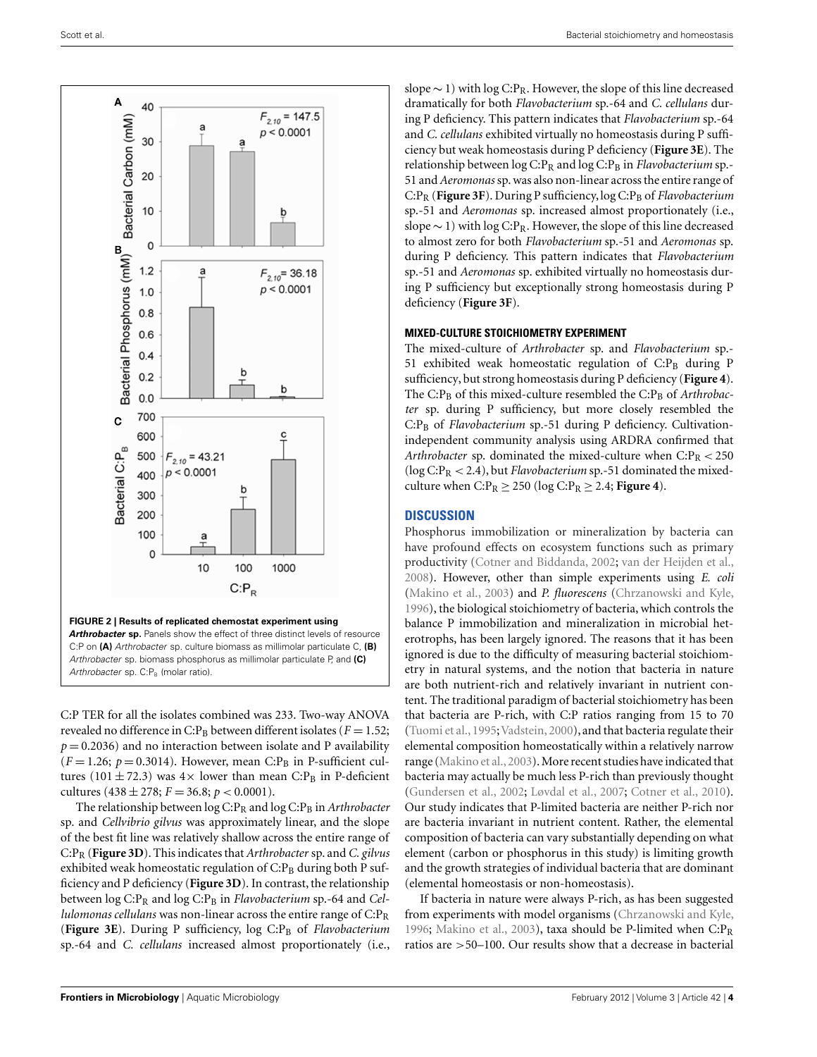<span id="page-3-0"></span>

C:P TER for all the isolates combined was 233. Two-way ANOVA revealed no difference in C:P<sub>B</sub> between different isolates ( $F = 1.52$ ;  $p = 0.2036$ ) and no interaction between isolate and P availability  $(F = 1.26; p = 0.3014)$ . However, mean C:P<sub>B</sub> in P-sufficient cultures (101  $\pm$  72.3) was 4× lower than mean C:P<sub>B</sub> in P-deficient cultures  $(438 \pm 278; F = 36.8; p < 0.0001)$ .

The relationship between log C:P<sub>R</sub> and log C:P<sub>B</sub> in *Arthrobacter* sp. and *Cellvibrio gilvus* was approximately linear, and the slope of the best fit line was relatively shallow across the entire range of C:PR (**[Figure 3D](#page-4-0)**). This indicates that*Arthrobacter* sp. and*C. gilvus* exhibited weak homeostatic regulation of  $C: P_B$  during both P sufficiency and P deficiency (**[Figure 3D](#page-4-0)**). In contrast, the relationship between log C:P<sub>R</sub> and log C:P<sub>B</sub> in *Flavobacterium* sp.-64 and *Cellulomonas cellulans* was non-linear across the entire range of C:P<sub>R</sub> ([Figure 3E](#page-4-0)). During P sufficiency, log C:P<sub>B</sub> of *Flavobacterium* sp.-64 and *C. cellulans* increased almost proportionately (i.e.,

slope ∼ 1) with log C:P<sub>R</sub>. However, the slope of this line decreased dramatically for both *Flavobacterium* sp.-64 and *C. cellulans* during P deficiency. This pattern indicates that *Flavobacterium* sp.-64 and *C. cellulans* exhibited virtually no homeostasis during P sufficiency but weak homeostasis during P deficiency (**[Figure 3E](#page-4-0)**). The relationship between  $\log C: P_R$  and  $\log C: P_B$  in *Flavobacterium* sp. 51 and*Aeromonas* sp. was also non-linear across the entire range of C:PR (**[Figure 3F](#page-4-0)**). During P sufficiency, log C:PB of *Flavobacterium* sp.-51 and *Aeromonas* sp. increased almost proportionately (i.e., slope  $\sim$  1) with log C:P<sub>R</sub>. However, the slope of this line decreased to almost zero for both *Flavobacterium* sp.-51 and *Aeromonas* sp. during P deficiency. This pattern indicates that *Flavobacterium* sp.-51 and *Aeromonas* sp. exhibited virtually no homeostasis during P sufficiency but exceptionally strong homeostasis during P deficiency (**[Figure 3F](#page-4-0)**).

## **MIXED-CULTURE STOICHIOMETRY EXPERIMENT**

The mixed-culture of *Arthrobacter* sp. and *Flavobacterium* sp.- 51 exhibited weak homeostatic regulation of  $C: P_B$  during P sufficiency, but strong homeostasis during P deficiency (**[Figure 4](#page-5-0)**). The C:P<sub>B</sub> of this mixed-culture resembled the C:P<sub>B</sub> of *Arthrobacter* sp. during P sufficiency, but more closely resembled the C:P<sub>B</sub> of *Flavobacterium* sp.-51 during P deficiency. Cultivationindependent community analysis using ARDRA confirmed that *Arthrobacter* sp. dominated the mixed-culture when  $C: P_R < 250$ ( $\log C: P_R < 2.4$ ), but *Flavobacterium* sp.-51 dominated the mixedculture when  $C: P_R \geq 250$  (log  $C: P_R \geq 2.4$ ; **[Figure 4](#page-5-0)**).

# **DISCUSSION**

Phosphorus immobilization or mineralization by bacteria can have profound effects on ecosystem functions such as primary productivity [\(Cotner and Biddanda, 2002](#page-6-0); [van der Heijden et al.,](#page-7-0) [2008\)](#page-7-0). However, other than simple experiments using *E. coli* [\(Makino et al.](#page-7-0), [2003\)](#page-7-0) and *P. fluorescens* [\(Chrzanowski and Kyle,](#page-6-0) [1996\)](#page-6-0), the biological stoichiometry of bacteria, which controls the balance P immobilization and mineralization in microbial heterotrophs, has been largely ignored. The reasons that it has been ignored is due to the difficulty of measuring bacterial stoichiometry in natural systems, and the notion that bacteria in nature are both nutrient-rich and relatively invariant in nutrient content. The traditional paradigm of bacterial stoichiometry has been that bacteria are P-rich, with C:P ratios ranging from 15 to 70 [\(Tuomi et al., 1995](#page-7-0); [Vadstein, 2000\)](#page-7-0), and that bacteria regulate their elemental composition homeostatically within a relatively narrow range [\(Makino et al.](#page-7-0),[2003\)](#page-7-0).More recent studies have indicated that bacteria may actually be much less P-rich than previously thought [\(Gundersen et al., 2002;](#page-7-0) [Løvdal et al., 2007](#page-7-0); [Cotner et al.](#page-6-0), [2010](#page-6-0)). Our study indicates that P-limited bacteria are neither P-rich nor are bacteria invariant in nutrient content. Rather, the elemental composition of bacteria can vary substantially depending on what element (carbon or phosphorus in this study) is limiting growth and the growth strategies of individual bacteria that are dominant (elemental homeostasis or non-homeostasis).

If bacteria in nature were always P-rich, as has been suggested from experiments with model organisms [\(Chrzanowski and Kyle,](#page-6-0) [1996;](#page-6-0) [Makino et al.](#page-7-0), [2003](#page-7-0)), taxa should be P-limited when  $C: P_R$ ratios are >50–100. Our results show that a decrease in bacterial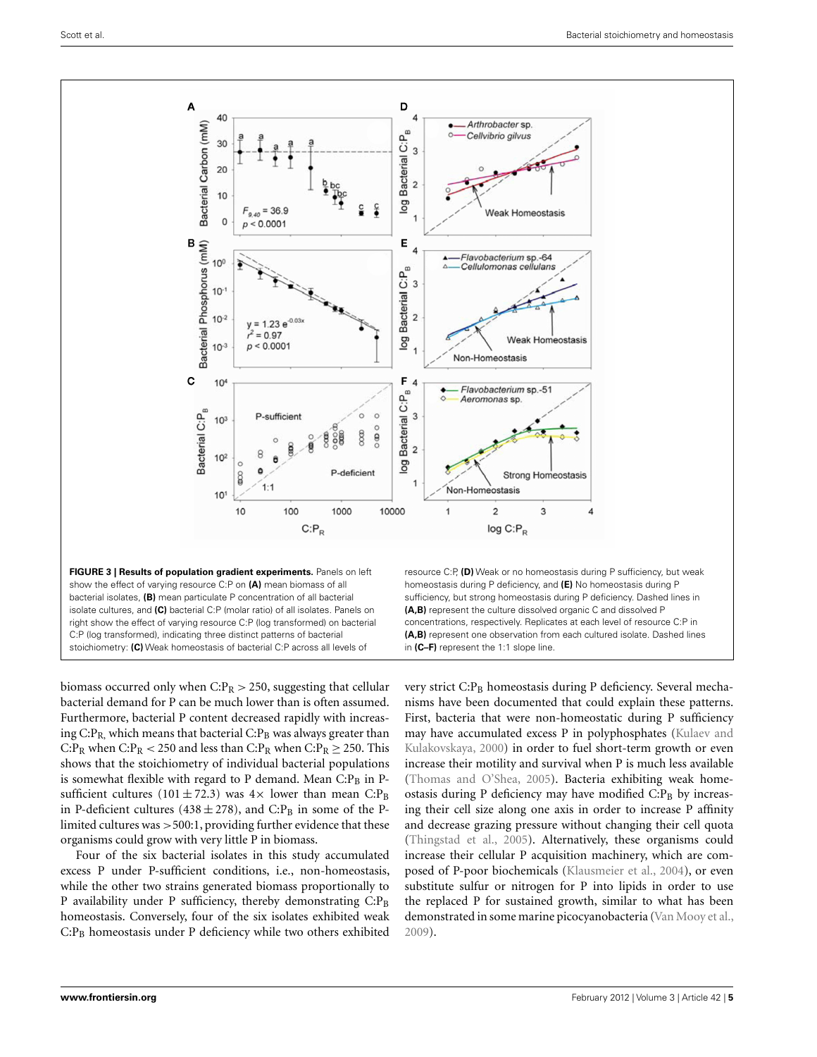<span id="page-4-0"></span>

biomass occurred only when  $C: P_R > 250$ , suggesting that cellular bacterial demand for P can be much lower than is often assumed. Furthermore, bacterial P content decreased rapidly with increasing  $C: P_R$ , which means that bacterial  $C: P_B$  was always greater than C:P<sub>R</sub> when C:P<sub>R</sub> < 250 and less than C:P<sub>R</sub> when C:P<sub>R</sub>  $\geq$  250. This shows that the stoichiometry of individual bacterial populations is somewhat flexible with regard to P demand. Mean  $C: P_B$  in Psufficient cultures (101  $\pm$  72.3) was 4× lower than mean C:P<sub>B</sub> in P-deficient cultures (438  $\pm$  278), and C:P<sub>B</sub> in some of the Plimited cultures was >500:1, providing further evidence that these organisms could grow with very little P in biomass.

Four of the six bacterial isolates in this study accumulated excess P under P-sufficient conditions, i.e., non-homeostasis, while the other two strains generated biomass proportionally to P availability under P sufficiency, thereby demonstrating  $C: P_B$ homeostasis. Conversely, four of the six isolates exhibited weak  $C: P_B$  homeostasis under P deficiency while two others exhibited

very strict C:P<sub>B</sub> homeostasis during P deficiency. Several mechanisms have been documented that could explain these patterns. First, bacteria that were non-homeostatic during P sufficiency may have ac[cumulated excess P in polyphosphates \(](#page-7-0)Kulaev and Kulakovskaya, [2000\)](#page-7-0) in order to fuel short-term growth or even increase their motility and survival when P is much less available [\(Thomas and O'Shea](#page-7-0), [2005\)](#page-7-0). Bacteria exhibiting weak homeostasis during P deficiency may have modified  $C: P_B$  by increasing their cell size along one axis in order to increase P affinity and decrease grazing pressure without changing their cell quota [\(Thingstad et al., 2005\)](#page-7-0). Alternatively, these organisms could increase their cellular P acquisition machinery, which are composed of P-poor biochemicals [\(Klausmeier et al., 2004\)](#page-7-0), or even substitute sulfur or nitrogen for P into lipids in order to use the replaced P for sustained growth, similar to what has been demonstrated in some marine picocyanobacteria [\(Van Mooy et al.,](#page-7-0) [2009\)](#page-7-0).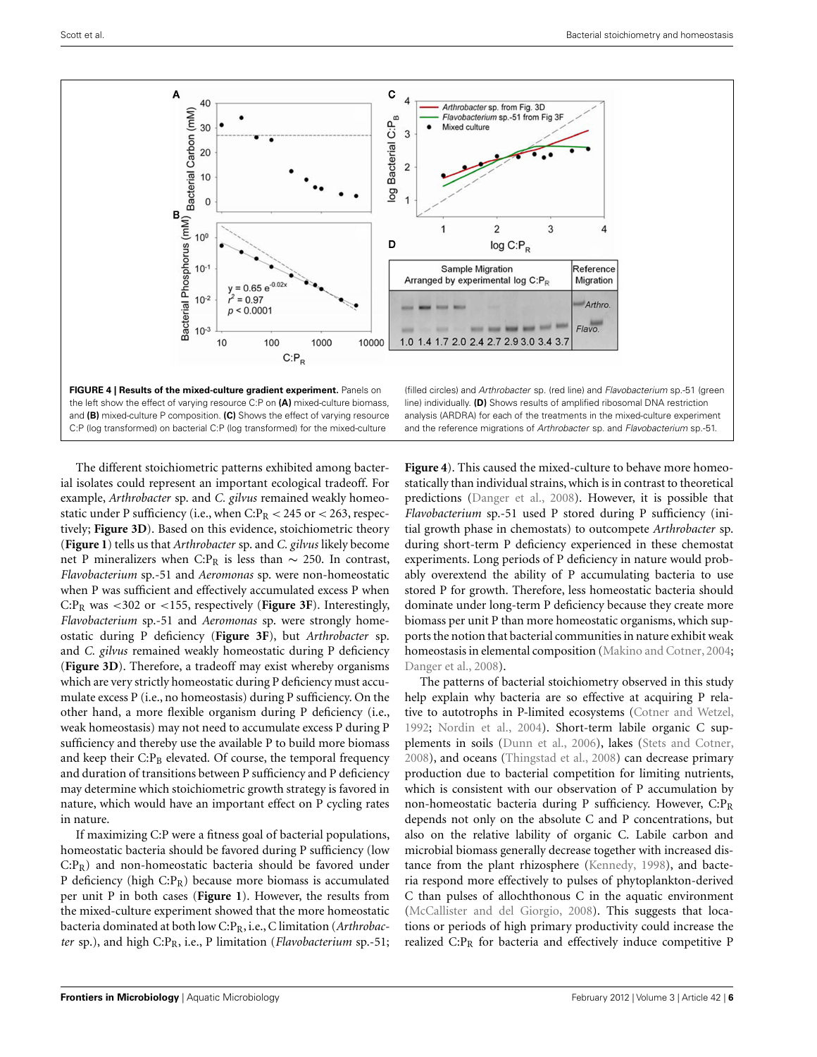<span id="page-5-0"></span>



(filled circles) and Arthrobacter sp. (red line) and Flavobacterium sp.-51 (green line) individually. **(D)** Shows results of amplified ribosomal DNA restriction analysis (ARDRA) for each of the treatments in the mixed-culture experiment and the reference migrations of Arthrobacter sp. and Flavobacterium sp.-51.

 $\overline{4}$ 

The different stoichiometric patterns exhibited among bacterial isolates could represent an important ecological tradeoff. For example, *Arthrobacter* sp. and *C. gilvus* remained weakly homeostatic under P sufficiency (i.e., when  $C: P_R < 245$  or  $< 263$ , respectively; **[Figure 3D](#page-4-0)**). Based on this evidence, stoichiometric theory (**[Figure 1](#page-1-0)**) tells us that *Arthrobacter* sp. and *C. gilvus* likely become net P mineralizers when C:P<sub>R</sub> is less than  $\sim$  250. In contrast, *Flavobacterium* sp.-51 and *Aeromonas* sp. were non-homeostatic when P was sufficient and effectively accumulated excess P when C:PR was <302 or <155, respectively (**[Figure 3F](#page-4-0)**). Interestingly, *Flavobacterium* sp.-51 and *Aeromonas* sp. were strongly homeostatic during P deficiency (**[Figure 3F](#page-4-0)**), but *Arthrobacter* sp. and *C. gilvus* remained weakly homeostatic during P deficiency (**[Figure 3D](#page-4-0)**). Therefore, a tradeoff may exist whereby organisms which are very strictly homeostatic during P deficiency must accumulate excess P (i.e., no homeostasis) during P sufficiency. On the other hand, a more flexible organism during P deficiency (i.e., weak homeostasis) may not need to accumulate excess P during P sufficiency and thereby use the available P to build more biomass and keep their  $C: P_B$  elevated. Of course, the temporal frequency and duration of transitions between P sufficiency and P deficiency may determine which stoichiometric growth strategy is favored in nature, which would have an important effect on P cycling rates in nature.

If maximizing C:P were a fitness goal of bacterial populations, homeostatic bacteria should be favored during P sufficiency (low C:PR) and non-homeostatic bacteria should be favored under P deficiency (high C:PR) because more biomass is accumulated per unit P in both cases (**[Figure 1](#page-1-0)**). However, the results from the mixed-culture experiment showed that the more homeostatic bacteria dominated at both low C:PR, i.e., C limitation (*Arthrobacter* sp.), and high C:PR, i.e., P limitation (*Flavobacterium* sp.-51;

**Figure 4**). This caused the mixed-culture to behave more homeostatically than individual strains, which is in contrast to theoretical predictions [\(Danger et al.](#page-7-0), [2008\)](#page-7-0). However, it is possible that *Flavobacterium* sp.-51 used P stored during P sufficiency (initial growth phase in chemostats) to outcompete *Arthrobacter* sp. during short-term P deficiency experienced in these chemostat experiments. Long periods of P deficiency in nature would probably overextend the ability of P accumulating bacteria to use stored P for growth. Therefore, less homeostatic bacteria should dominate under long-term P deficiency because they create more biomass per unit P than more homeostatic organisms, which supports the notion that bacterial communities in nature exhibit weak homeostasis in elemental composition [\(Makino and Cotner, 2004;](#page-7-0) [Danger et al.](#page-7-0), [2008\)](#page-7-0).

The patterns of bacterial stoichiometry observed in this study help explain why bacteria are so effective at acquiring P relative to autotrophs in P-limited ecosystems [\(Cotner and Wetzel,](#page-7-0) [1992;](#page-7-0) [Nordin et al.](#page-7-0), [2004](#page-7-0)). Short-term labile organic C supplements in soils [\(Dunn et al., 2006\)](#page-7-0), lakes [\(Stets and Cotner,](#page-7-0) [2008\)](#page-7-0), and oceans [\(Thingstad et al., 2008\)](#page-7-0) can decrease primary production due to bacterial competition for limiting nutrients, which is consistent with our observation of P accumulation by non-homeostatic bacteria during P sufficiency. However, C:PR depends not only on the absolute C and P concentrations, but also on the relative lability of organic C. Labile carbon and microbial biomass generally decrease together with increased distance from the plant rhizosphere [\(Kennedy, 1998\)](#page-7-0), and bacteria respond more effectively to pulses of phytoplankton-derived C than pulses of allochthonous C in the aquatic environment [\(McCallister and del Giorgio](#page-7-0), [2008](#page-7-0)). This suggests that locations or periods of high primary productivity could increase the realized  $C: P_R$  for bacteria and effectively induce competitive P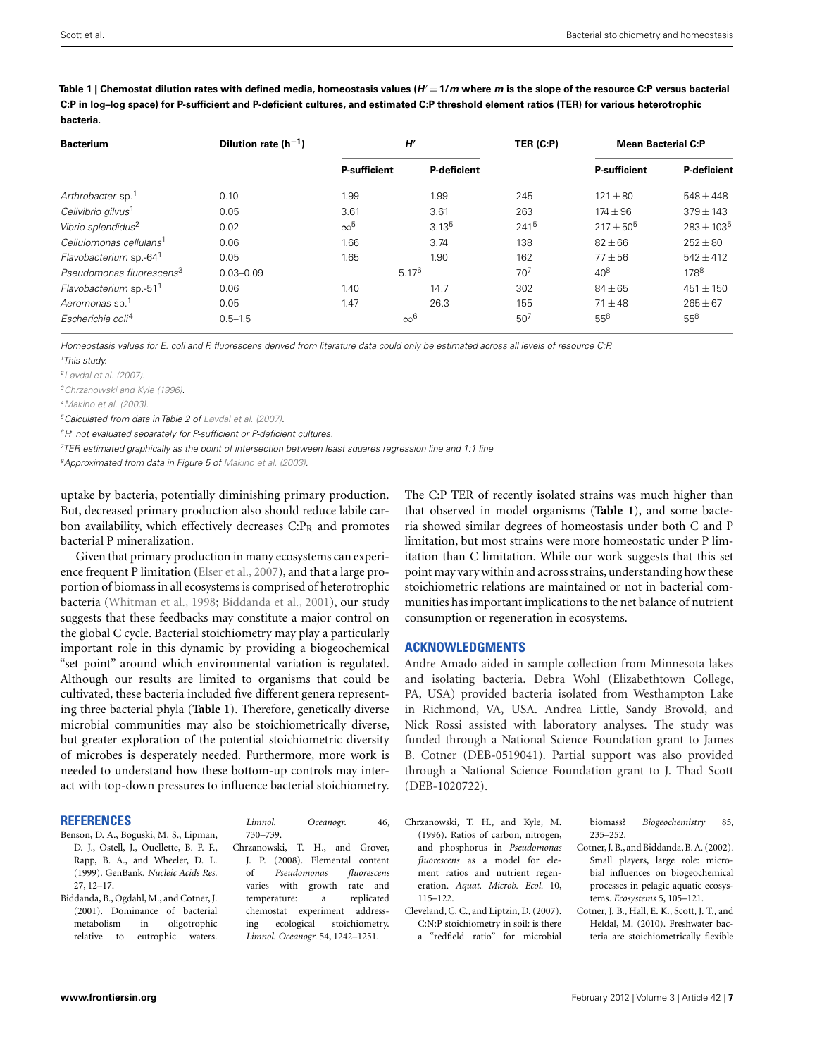| <b>Bacterium</b>                     | Dilution rate $(h^{-1})$ | H'                  |                    | TER (C:P)       | <b>Mean Bacterial C:P</b> |                    |
|--------------------------------------|--------------------------|---------------------|--------------------|-----------------|---------------------------|--------------------|
|                                      |                          | <b>P-sufficient</b> | <b>P-deficient</b> |                 | <b>P-sufficient</b>       | <b>P-deficient</b> |
| Arthrobacter sp. <sup>1</sup>        | 0.10                     | 1.99                | 1.99               | 245             | $121 + 80$                | $548 + 448$        |
| Cellvibrio gilvus <sup>1</sup>       | 0.05                     | 3.61                | 3.61               | 263             | $174 \pm 96$              | $379 \pm 143$      |
| Vibrio splendidus <sup>2</sup>       | 0.02                     | $\infty^5$          | 3.13 <sup>5</sup>  | 2415            | $217 + 50^{5}$            | $283 \pm 103^{5}$  |
| Cellulomonas cellulans <sup>1</sup>  | 0.06                     | 1.66                | 3.74               | 138             | $82 \pm 66$               | $252 \pm 80$       |
| Flavobacterium sp.-64 <sup>1</sup>   | 0.05                     | 1.65                | 1.90               | 162             | $77 + 56$                 | $542 + 412$        |
| Pseudomonas fluorescens <sup>3</sup> | $0.03 - 0.09$            | 5.17 <sup>6</sup>   |                    | 70 <sup>7</sup> | $40^{8}$                  | 178 <sup>8</sup>   |
| Flavobacterium sp.-51 <sup>1</sup>   | 0.06                     | 1.40                | 14.7               | 302             | $84 \pm 65$               | $451 \pm 150$      |
| Aeromonas sp. <sup>1</sup>           | 0.05                     | 1.47                | 26.3               | 155             | $71 + 48$                 | $265 \pm 67$       |
| Escherichia coli <sup>4</sup>        | $0.5 - 1.5$              | $\infty^6$          |                    | 50 <sup>7</sup> | $55^{8}$                  | $55^{8}$           |

<span id="page-6-0"></span>**Table 1 | Chemostat dilution rates with defined media, homeostasis values (***H* = **1/***m* **where** *m* **is the slope of the resource C:P versus bacterial C:P in log–log space) for P-sufficient and P-deficient cultures, and estimated C:P threshold element ratios (TER) for various heterotrophic bacteria.**

Homeostasis values for E. coli and P. fluorescens derived from literature data could only be estimated across all levels of resource C:P.

1 This study.

[2Løvdal et al. \(2007\)](#page-7-0).

3Chrzanowski and Kyle (1996).

[4Makino et al.](#page-7-0) [\(2003\)](#page-7-0).

5Calculated from data in Table 2 of [Løvdal et al.](#page-7-0) [\(2007](#page-7-0)).

<sup>6</sup>H' not evaluated separately for P-sufficient or P-deficient cultures.

7 TER estimated graphically as the point of intersection between least squares regression line and 1:1 line

<sup>8</sup>Approximated from data in Figure 5 of [Makino et al. \(2003](#page-7-0)).

uptake by bacteria, potentially diminishing primary production. But, decreased primary production also should reduce labile carbon availability, which effectively decreases  $C: P_R$  and promotes bacterial P mineralization.

Given that primary production in many ecosystems can experience frequent P limitation [\(Elser et al., 2007\)](#page-7-0), and that a large proportion of biomass in all ecosystems is comprised of heterotrophic bacteria [\(Whitman et al., 1998;](#page-7-0) Biddanda et al., 2001), our study suggests that these feedbacks may constitute a major control on the global C cycle. Bacterial stoichiometry may play a particularly important role in this dynamic by providing a biogeochemical "set point" around which environmental variation is regulated. Although our results are limited to organisms that could be cultivated, these bacteria included five different genera representing three bacterial phyla (**Table 1**). Therefore, genetically diverse microbial communities may also be stoichiometrically diverse, but greater exploration of the potential stoichiometric diversity of microbes is desperately needed. Furthermore, more work is needed to understand how these bottom-up controls may interact with top-down pressures to influence bacterial stoichiometry.

#### **REFERENCES**

Benson, D. A., Boguski, M. S., Lipman, D. J., Ostell, J., Ouellette, B. F. F., Rapp, B. A., and Wheeler, D. L. (1999). GenBank. *Nucleic Acids Res.* 27, 12–17.

Biddanda, B., Ogdahl, M., and Cotner, J. (2001). Dominance of bacterial metabolism in oligotrophic relative to eutrophic waters.

*Limnol. Oceanogr.* 46, 730–739.

Chrzanowski, T. H., and Grover, J. P. (2008). Elemental content of *Pseudomonas fluorescens* varies with growth rate and temperature: a replicated chemostat experiment addressing ecological stoichiometry. *Limnol. Oceanogr.* 54, 1242–1251.

The C:P TER of recently isolated strains was much higher than that observed in model organisms (**Table 1**), and some bacteria showed similar degrees of homeostasis under both C and P limitation, but most strains were more homeostatic under P limitation than C limitation. While our work suggests that this set point may vary within and across strains, understanding how these stoichiometric relations are maintained or not in bacterial communities has important implications to the net balance of nutrient consumption or regeneration in ecosystems.

## **ACKNOWLEDGMENTS**

Andre Amado aided in sample collection from Minnesota lakes and isolating bacteria. Debra Wohl (Elizabethtown College, PA, USA) provided bacteria isolated from Westhampton Lake in Richmond, VA, USA. Andrea Little, Sandy Brovold, and Nick Rossi assisted with laboratory analyses. The study was funded through a National Science Foundation grant to James B. Cotner (DEB-0519041). Partial support was also provided through a National Science Foundation grant to J. Thad Scott (DEB-1020722).

- Chrzanowski, T. H., and Kyle, M. (1996). Ratios of carbon, nitrogen, and phosphorus in *Pseudomonas fluorescens* as a model for element ratios and nutrient regeneration. *Aquat. Microb. Ecol.* 10, 115–122.
- Cleveland, C. C., and Liptzin, D. (2007). C:N:P stoichiometry in soil: is there a "redfield ratio" for microbial

biomass? *Biogeochemistry* 85, 235–252.

- Cotner, J. B., and Biddanda, B. A. (2002). Small players, large role: microbial influences on biogeochemical processes in pelagic aquatic ecosystems. *Ecosystems* 5, 105–121.
- Cotner, J. B., Hall, E. K., Scott, J. T., and Heldal, M. (2010). Freshwater bacteria are stoichiometrically flexible